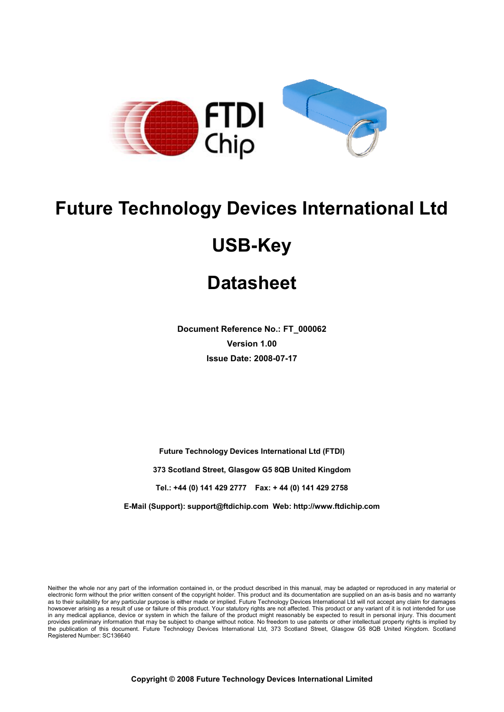

# **Future Technology Devices International Ltd**

# **Datasheet**

**Doc Document Reference No.: FT\_000062 Version 1.00 Issue Date: 2008-07-17** 

**Future Technology Devices International Ltd (FTDI) 373 Scotland Street, Glasgow G5 8QB 373 Scotland Glasgow G5 8QB United Kingdom Tel.: +44 (0) 141 429 2777 (0) 429 2777 Fax: + 44 (0) 141 429 2758** 

**E-Mail (Support): Mail (Support): support@ftdichip.com Web: http://www.ftdichip.com**

Neither the whole nor any part of the information contained in, or the product described in this manual, may be adapted or reproduced in any material or electronic form without the prior written consent of the copyright holder. This product and its documentation are supplied on as to their suitability for any particular purpose is either made or implied. Future Techn howsoever arising as a result of use or failure of this product. Your st in any medical appliance, device or system in which the failure of the product might reasonably be expected to result in pers personal injury. This document in any medical appliance, device or system in which the failure of the product might reasonably be expected to result in personal injury. This document<br>provides preliminary information that may be subject to change without the publication of this document. Future Technology Devices International Ltd, 373 Scotland Street, Glasgow G5 8 8QB United Kingdom. Scotland Registered Number: SC136640 electronic form without the prior written consent of the copyright holder. This product and its documentation are supplied on an as-is basis and no warranty<br>as to their suitability for any particular purpose is either made as a result of use or failure of this product. Your statutory rights are not affected. This product or any variant of it is not intended for use **y Devices International<br>USB-Key**<br>Datasheet<br>
interference No.: FT\_000062<br>
Version 1.00<br>
sue Date: 2008-07-17<br>
Idea<br>
Idea<br>
Idea<br>
Idea<br>
Idea<br>
Idea Strategies International Ltd (FTDI)<br>
Jeet, Glasgow G5 8QB United Kingdom<br>
429 on an as-is basis and no warranty will not accept any claim for damages atutory rights are not affected. This product or any variant of it is not intended for use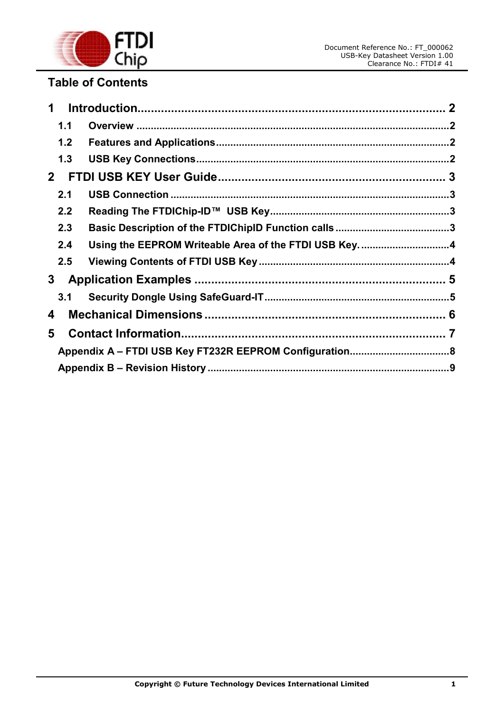

# **Table of Contents**

|                | $\mathbf 1$ |                                                      |  |  |  |  |
|----------------|-------------|------------------------------------------------------|--|--|--|--|
|                | 1.1         |                                                      |  |  |  |  |
|                | 1.2         |                                                      |  |  |  |  |
|                | 1.3         |                                                      |  |  |  |  |
| 2 <sup>1</sup> |             |                                                      |  |  |  |  |
|                | 2.1         |                                                      |  |  |  |  |
|                | 2.2         |                                                      |  |  |  |  |
|                | 2.3         |                                                      |  |  |  |  |
|                | 2.4         | Using the EEPROM Writeable Area of the FTDI USB Key4 |  |  |  |  |
|                | 2.5         |                                                      |  |  |  |  |
|                | 3           |                                                      |  |  |  |  |
|                | 3.1         |                                                      |  |  |  |  |
| 4              |             |                                                      |  |  |  |  |
| 5              |             |                                                      |  |  |  |  |
|                |             |                                                      |  |  |  |  |
|                |             |                                                      |  |  |  |  |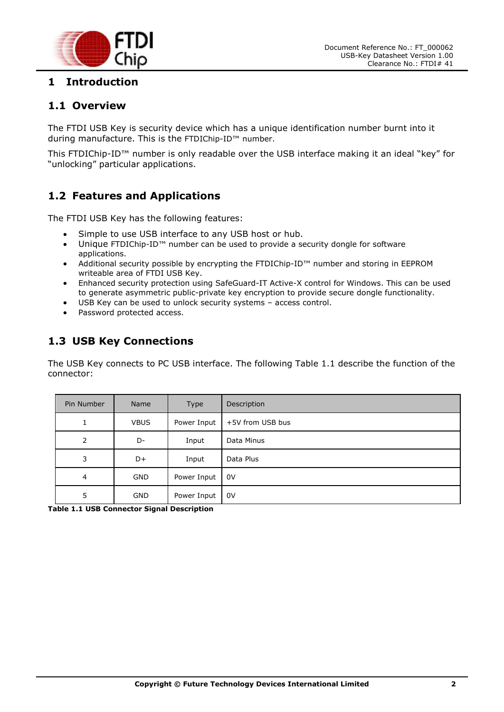



## **1 Introduction**

#### **1.1 Overview**

The FTDI USB Key is security device which has a unique identification number burnt into it during manufacture. This is the FTDIChip-ID™ number.

This FTDIChip-ID™ number is only readable over the USB interface making it an ideal "key" for "unlocking" particular applications.

### **1.2 Features and Applications**

The FTDI USB Key has the following features:

- Simple to use USB interface to any USB host or hub.
- Unique FTDIChip-ID™ number can be used to provide a security dongle for software applications.
- Additional security possible by encrypting the FTDIChip-ID™ number and storing in EEPROM writeable area of FTDI USB Key.
- Enhanced security protection using SafeGuard-IT Active-X control for Windows. This can be used to generate asymmetric public-private key encryption to provide secure dongle functionality.
- USB Key can be used to unlock security systems access control.
- Password protected access.

#### **1.3 USB Key Connections**

The USB Key connects to PC USB interface. The following Table 1.1 describe the function of the connector:

| Pin Number     | Name        | Type        | Description      |
|----------------|-------------|-------------|------------------|
|                | <b>VBUS</b> | Power Input | +5V from USB bus |
| $\overline{2}$ | D-          | Input       | Data Minus       |
| 3              | D+          | Input       | Data Plus        |
| $\overline{4}$ | <b>GND</b>  | Power Input | 0V               |
| 5              | <b>GND</b>  | Power Input | 0V               |

**Table 1.1 USB Connector Signal Description**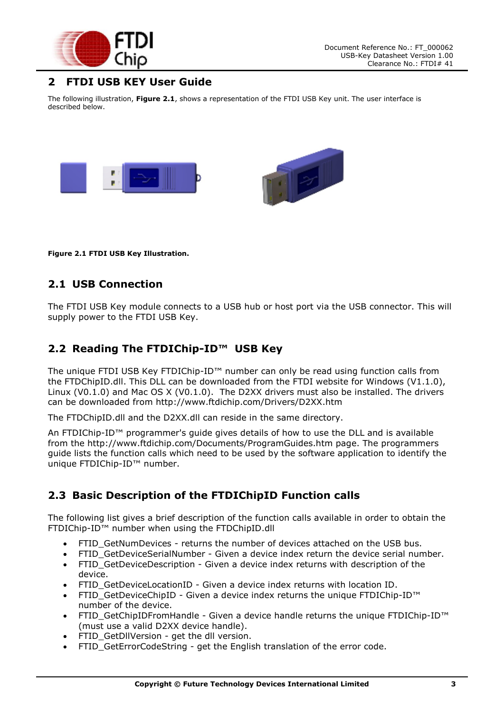

#### **2 FTDI USB KEY User Guide**

The following illustration, **Figure 2.1**, shows a representation of the FTDI USB Key unit. The user interface is described below.



**Figure 2.1 FTDI USB Key Illustration.** 

#### **2.1 USB Connection**

The FTDI USB Key module connects to a USB hub or host port via the USB connector. This will supply power to the FTDI USB Key.

#### **2.2 Reading The FTDIChip-ID™ USB Key**

The unique FTDI USB Key FTDIChip-ID™ number can only be read using function calls from the FTDChipID.dll. This DLL can be downloaded from the FTDI website for Windows (V1.1.0), Linux (V0.1.0) and Mac OS X (V0.1.0). The D2XX drivers must also be installed. The drivers can be downloaded from http://www.ftdichip.com/Drivers/D2XX.htm

The FTDChipID.dll and the D2XX.dll can reside in the same directory.

An FTDIChip-ID™ programmer's guide gives details of how to use the DLL and is available from the http://www.ftdichip.com/Documents/ProgramGuides.htm page. The programmers guide lists the function calls which need to be used by the software application to identify the unique FTDIChip-ID™ number.

#### **2.3 Basic Description of the FTDIChipID Function calls**

The following list gives a brief description of the function calls available in order to obtain the FTDIChip-ID™ number when using the FTDChipID.dll

- FTID GetNumDevices returns the number of devices attached on the USB bus.
- FTID\_GetDeviceSerialNumber Given a device index return the device serial number.
- FTID GetDeviceDescription Given a device index returns with description of the device.
- FTID GetDeviceLocationID Given a device index returns with location ID.
- FTID GetDeviceChipID Given a device index returns the unique FTDIChip-ID™ number of the device.
- FTID GetChipIDFromHandle Given a device handle returns the unique FTDIChip-ID™ (must use a valid D2XX device handle).
- FTID GetDllVersion get the dll version.
- FTID GetErrorCodeString get the English translation of the error code.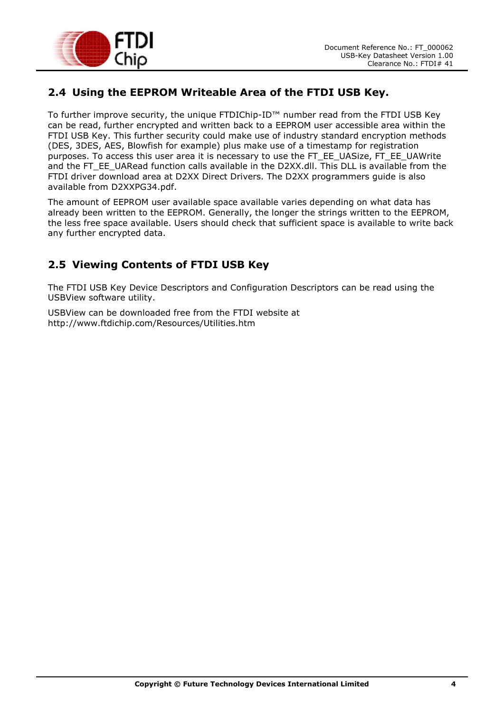

#### **2.4 Using the EEPROM Writeable Area of the FTDI USB Key.**

To further improve security, the unique FTDIChip-ID™ number read from the FTDI USB Key can be read, further encrypted and written back to a EEPROM user accessible area within the FTDI USB Key. This further security could make use of industry standard encryption methods (DES, 3DES, AES, Blowfish for example) plus make use of a timestamp for registration purposes. To access this user area it is necessary to use the FT\_EE\_UASize, FT\_EE\_UAWrite and the FT\_EE\_UARead function calls available in the D2XX.dll. This DLL is available from the FTDI driver download area at D2XX Direct Drivers. The D2XX programmers guide is also available from D2XXPG34.pdf.

The amount of EEPROM user available space available varies depending on what data has already been written to the EEPROM. Generally, the longer the strings written to the EEPROM, the less free space available. Users should check that sufficient space is available to write back any further encrypted data.

#### **2.5 Viewing Contents of FTDI USB Key**

The FTDI USB Key Device Descriptors and Configuration Descriptors can be read using the USBView software utility.

USBView can be downloaded free from the FTDI website at http://www.ftdichip.com/Resources/Utilities.htm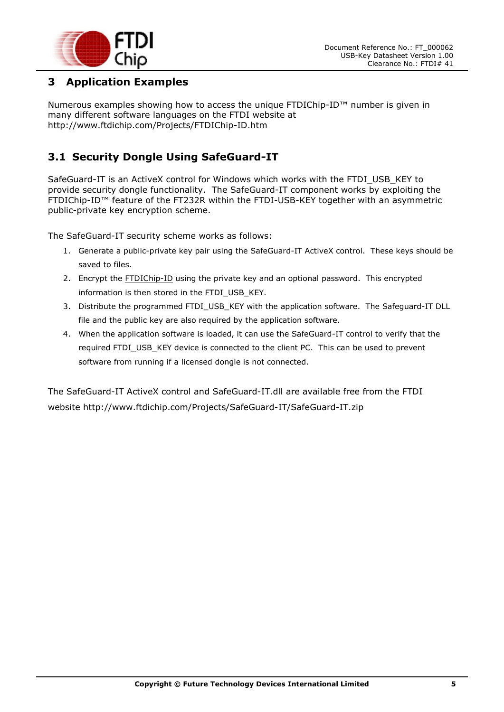

#### **3 Application Examples**

Numerous examples showing how to access the unique FTDIChip-ID™ number is given in many different software languages on the FTDI website at http://www.ftdichip.com/Projects/FTDIChip-ID.htm

## **3.1 Security Dongle Using SafeGuard-IT**

SafeGuard-IT is an ActiveX control for Windows which works with the FTDI\_USB\_KEY to provide security dongle functionality. The SafeGuard-IT component works by exploiting the FTDIChip-ID™ feature of the FT232R within the FTDI-USB-KEY together with an asymmetric public-private key encryption scheme.

The SafeGuard-IT security scheme works as follows:

- 1. Generate a public-private key pair using the SafeGuard-IT ActiveX control. These keys should be saved to files.
- 2. Encrypt the **FTDIChip-ID** using the private key and an optional password. This encrypted information is then stored in the FTDI\_USB\_KEY.
- 3. Distribute the programmed FTDI\_USB\_KEY with the application software. The Safeguard-IT DLL file and the public key are also required by the application software.
- 4. When the application software is loaded, it can use the SafeGuard-IT control to verify that the required FTDI\_USB\_KEY device is connected to the client PC. This can be used to prevent software from running if a licensed dongle is not connected.

The SafeGuard-IT ActiveX control and SafeGuard-IT.dll are available free from the FTDI website http://www.ftdichip.com/Projects/SafeGuard-IT/SafeGuard-IT.zip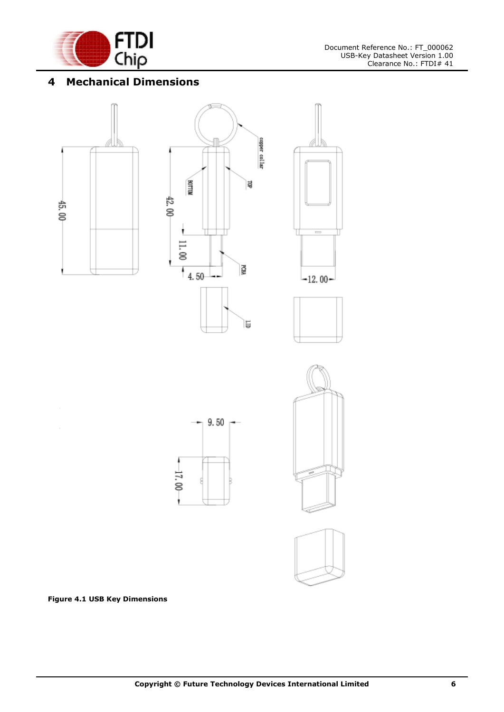

# **4 Mechanical Dimensions**















**Figure 4.1 USB Key Dimensions**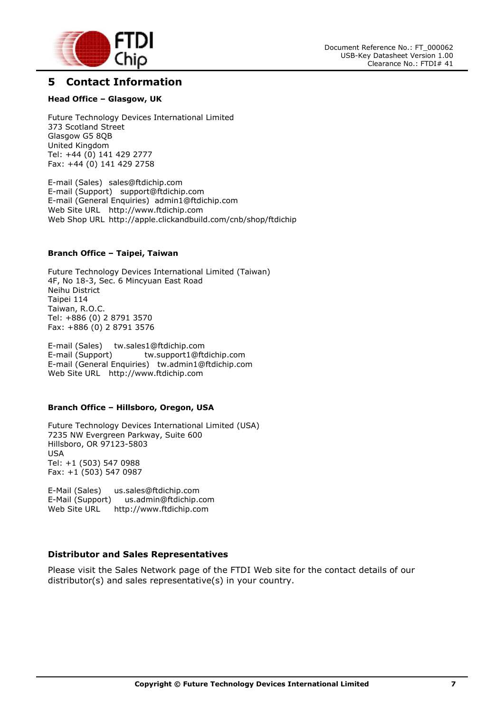

#### **5 Contact Information**

#### **Head Office – Glasgow, UK**

Future Technology Devices International Limited 373 Scotland Street Glasgow G5 8QB United Kingdom Tel: +44 (0) 141 429 2777 Fax: +44 (0) 141 429 2758

E-mail (Sales) sales@ftdichip.com E-mail (Support) support@ftdichip.com E-mail (General Enquiries) admin1@ftdichip.com Web Site URL http://www.ftdichip.com Web Shop URL http://apple.clickandbuild.com/cnb/shop/ftdichip

#### **Branch Office – Taipei, Taiwan**

Future Technology Devices International Limited (Taiwan) 4F, No 18-3, Sec. 6 Mincyuan East Road Neihu District Taipei 114 Taiwan, R.O.C. Tel: +886 (0) 2 8791 3570 Fax: +886 (0) 2 8791 3576

E-mail (Sales) tw.sales1@ftdichip.com E-mail (Support) tw.support1@ftdichip.com E-mail (General Enquiries) tw.admin1@ftdichip.com Web Site URL http://www.ftdichip.com

#### **Branch Office – Hillsboro, Oregon, USA**

Future Technology Devices International Limited (USA) 7235 NW Evergreen Parkway, Suite 600 Hillsboro, OR 97123-5803 USA Tel: +1 (503) 547 0988 Fax: +1 (503) 547 0987

E-Mail (Sales) us.sales@ftdichip.com E-Mail (Support) us.admin@ftdichip.com http://www.ftdichip.com

#### **Distributor and Sales Representatives**

Please visit the Sales Network page of the FTDI Web site for the contact details of our distributor(s) and sales representative(s) in your country.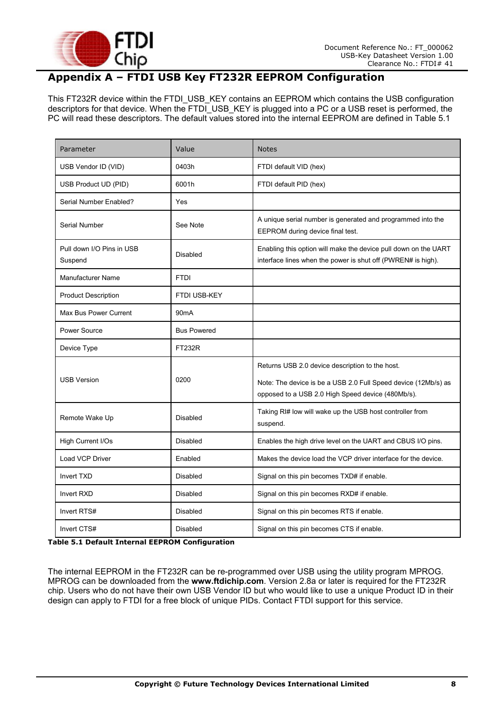

# **Appendix A – FTDI USB Key FT232R EEPROM Configuration**

This FT232R device within the FTDI\_USB\_KEY contains an EEPROM which contains the USB configuration descriptors for that device. When the  $FTDI$  USB KEY is plugged into a PC or a USB reset is performed, the PC will read these descriptors. The default values stored into the internal EEPROM are defined in Table 5.1

| Parameter                            | Value              | <b>Notes</b>                                                                                                                                                           |
|--------------------------------------|--------------------|------------------------------------------------------------------------------------------------------------------------------------------------------------------------|
| USB Vendor ID (VID)                  | 0403h              | FTDI default VID (hex)                                                                                                                                                 |
| USB Product UD (PID)                 | 6001h              | FTDI default PID (hex)                                                                                                                                                 |
| Serial Number Enabled?               | Yes                |                                                                                                                                                                        |
| Serial Number                        | See Note           | A unique serial number is generated and programmed into the<br>EEPROM during device final test.                                                                        |
| Pull down I/O Pins in USB<br>Suspend | <b>Disabled</b>    | Enabling this option will make the device pull down on the UART<br>interface lines when the power is shut off (PWREN# is high).                                        |
| <b>Manufacturer Name</b>             | <b>FTDI</b>        |                                                                                                                                                                        |
| <b>Product Description</b>           | FTDI USB-KEY       |                                                                                                                                                                        |
| Max Bus Power Current                | 90 <sub>m</sub> A  |                                                                                                                                                                        |
| Power Source                         | <b>Bus Powered</b> |                                                                                                                                                                        |
| Device Type                          | <b>FT232R</b>      |                                                                                                                                                                        |
| <b>USB Version</b>                   | 0200               | Returns USB 2.0 device description to the host.<br>Note: The device is be a USB 2.0 Full Speed device (12Mb/s) as<br>opposed to a USB 2.0 High Speed device (480Mb/s). |
| Remote Wake Up                       | <b>Disabled</b>    | Taking RI# low will wake up the USB host controller from<br>suspend.                                                                                                   |
| High Current I/Os                    | Disabled           | Enables the high drive level on the UART and CBUS I/O pins.                                                                                                            |
| <b>Load VCP Driver</b>               | Enabled            | Makes the device load the VCP driver interface for the device.                                                                                                         |
| Invert TXD                           | <b>Disabled</b>    | Signal on this pin becomes TXD# if enable.                                                                                                                             |
| <b>Invert RXD</b>                    | <b>Disabled</b>    | Signal on this pin becomes RXD# if enable.                                                                                                                             |
| Invert RTS#                          | Disabled           | Signal on this pin becomes RTS if enable.                                                                                                                              |
| Invert CTS#                          | <b>Disabled</b>    | Signal on this pin becomes CTS if enable.                                                                                                                              |

**Table 5.1 Default Internal EEPROM Configuration** 

The internal EEPROM in the FT232R can be re-programmed over USB using the utility program MPROG. MPROG can be downloaded from the **www.ftdichip.com**. Version 2.8a or later is required for the FT232R chip. Users who do not have their own USB Vendor ID but who would like to use a unique Product ID in their design can apply to FTDI for a free block of unique PIDs. Contact FTDI support for this service.